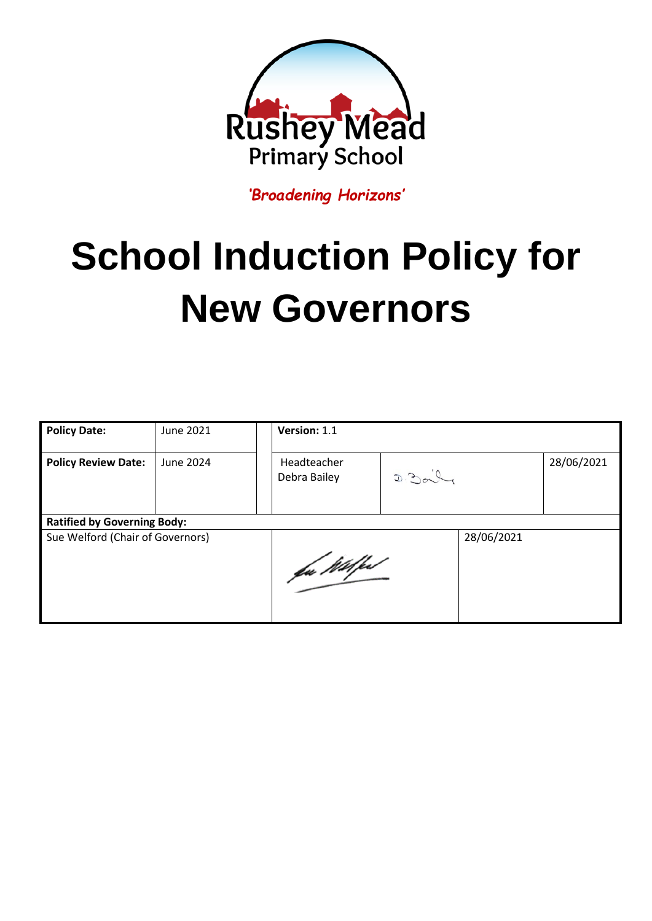

*'Broadening Horizons'*

## **School Induction Policy for New Governors**

| <b>Policy Date:</b>                | June 2021 | Version: 1.1                |       |            |            |
|------------------------------------|-----------|-----------------------------|-------|------------|------------|
| <b>Policy Review Date:</b>         | June 2024 | Headteacher<br>Debra Bailey | D.200 |            | 28/06/2021 |
| <b>Ratified by Governing Body:</b> |           |                             |       |            |            |
| Sue Welford (Chair of Governors)   |           | fa Wilfest                  |       | 28/06/2021 |            |